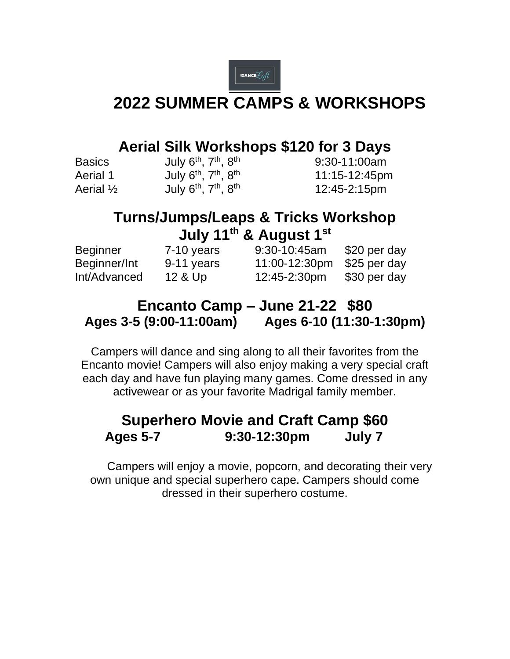

# **2022 SUMMER CAMPS & WORKSHOPS**

### **Aerial Silk Workshops \$120 for 3 Days**

| <b>Basics</b>        | July $6th$ , $7th$ , $8th$          | 9:30-11:00am  |
|----------------------|-------------------------------------|---------------|
| Aerial 1             | July $6^{th}$ , $7^{th}$ , $8^{th}$ | 11:15-12:45pm |
| Aerial $\frac{1}{2}$ | July $6th$ , $7th$ , $8th$          | 12:45-2:15pm  |

## **Turns/Jumps/Leaps & Tricks Workshop July 11th & August 1st**

| Beginner     | $7-10$ years | $9:30-10:45am$ | \$20 per day |
|--------------|--------------|----------------|--------------|
| Beginner/Int | 9-11 years   | 11:00-12:30pm  | \$25 per day |
| Int/Advanced | 12 & Up      | 12:45-2:30pm   | \$30 per day |

### **Encanto Camp – June 21-22 \$80 Ages 3-5 (9:00-11:00am) Ages 6-10 (11:30-1:30pm)**

Campers will dance and sing along to all their favorites from the Encanto movie! Campers will also enjoy making a very special craft each day and have fun playing many games. Come dressed in any activewear or as your favorite Madrigal family member.

#### **Superhero Movie and Craft Camp \$60 Ages 5-7 9:30-12:30pm July 7**

Campers will enjoy a movie, popcorn, and decorating their very own unique and special superhero cape. Campers should come dressed in their superhero costume.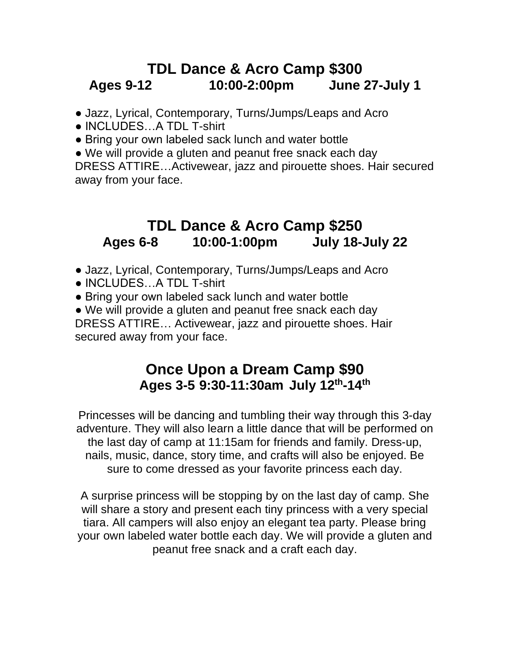### **TDL Dance & Acro Camp \$300 Ages 9-12 10:00-2:00pm June 27-July 1**

- Jazz, Lyrical, Contemporary, Turns/Jumps/Leaps and Acro
- INCLUDES…A TDL T-shirt
- Bring your own labeled sack lunch and water bottle
- We will provide a gluten and peanut free snack each day

DRESS ATTIRE…Activewear, jazz and pirouette shoes. Hair secured away from your face.

#### **TDL Dance & Acro Camp \$250 Ages 6-8 10:00-1:00pm July 18-July 22**

- Jazz, Lyrical, Contemporary, Turns/Jumps/Leaps and Acro
- INCLUDES…A TDL T-shirt
- Bring your own labeled sack lunch and water bottle
- We will provide a gluten and peanut free snack each day DRESS ATTIRE… Activewear, jazz and pirouette shoes. Hair secured away from your face.

#### **Once Upon a Dream Camp \$90 Ages 3-5 9:30-11:30am July 12 th -14 th**

Princesses will be dancing and tumbling their way through this 3-day adventure. They will also learn a little dance that will be performed on the last day of camp at 11:15am for friends and family. Dress-up, nails, music, dance, story time, and crafts will also be enjoyed. Be sure to come dressed as your favorite princess each day.

A surprise princess will be stopping by on the last day of camp. She will share a story and present each tiny princess with a very special tiara. All campers will also enjoy an elegant tea party. Please bring your own labeled water bottle each day. We will provide a gluten and peanut free snack and a craft each day.